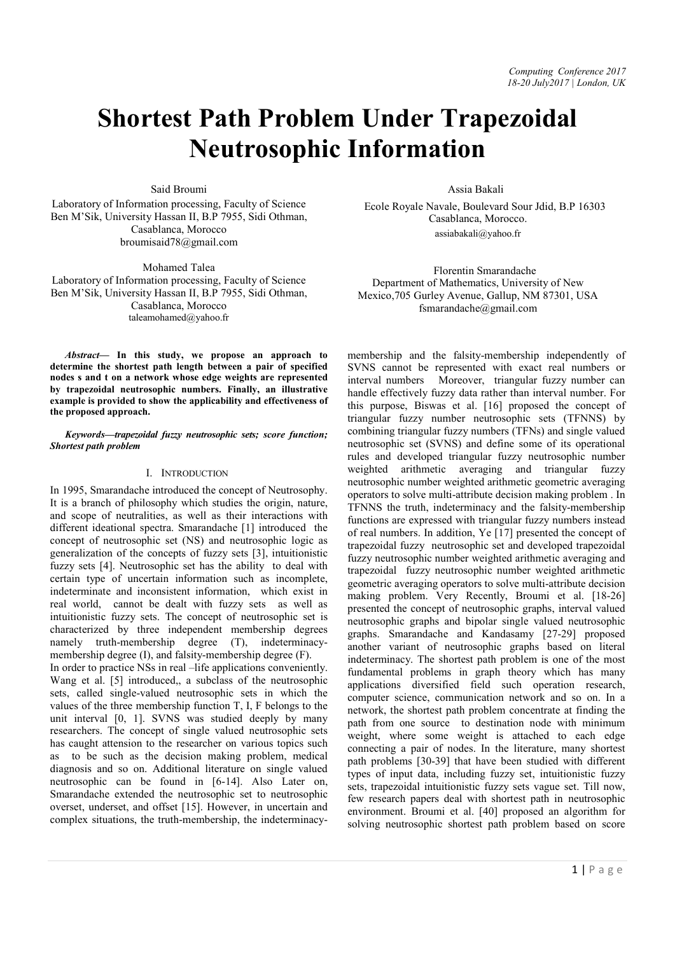# Shortest Path Problem Under Trapezoidal Neutrosophic Information

Said Broumi

Laboratory of Information processing, Faculty of Science Ben M'Sik, University Hassan II, B.P 7955, Sidi Othman, Casablanca, Morocco broumisaid78@gmail.com

Mohamed Talea

Laboratory of Information processing, Faculty of Science Ben M'Sik, University Hassan II, B.P 7955, Sidi Othman, Casablanca, Morocco taleamohamed@yahoo.fr

*Abstract*— In this study, we propose an approach to determine the shortest path length between a pair of specified nodes s and t on a network whose edge weights are represented by trapezoidal neutrosophic numbers. Finally, an illustrative example is provided to show the applicability and effectiveness of the proposed approach.

*Keywords—trapezoidal fuzzy neutrosophic sets; score function; Shortest path problem*

## I. INTRODUCTION

In 1995, Smarandache introduced the concept of Neutrosophy. It is a branch of philosophy which studies the origin, nature, and scope of neutralities, as well as their interactions with different ideational spectra. Smarandache [1] introduced the concept of neutrosophic set (NS) and neutrosophic logic as generalization of the concepts of fuzzy sets [3], intuitionistic fuzzy sets [4]. Neutrosophic set has the ability to deal with certain type of uncertain information such as incomplete, indeterminate and inconsistent information, which exist in real world, cannot be dealt with fuzzy sets as well as intuitionistic fuzzy sets. The concept of neutrosophic set is characterized by three independent membership degrees namely truth-membership degree (T), indeterminacymembership degree (I), and falsity-membership degree (F).

In order to practice NSs in real –life applications conveniently. Wang et al. [5] introduced,, a subclass of the neutrosophic sets, called single-valued neutrosophic sets in which the values of the three membership function T, I, F belongs to the unit interval [0, 1]. SVNS was studied deeply by many researchers. The concept of single valued neutrosophic sets has caught attension to the researcher on various topics such as to be such as the decision making problem, medical diagnosis and so on. Additional literature on single valued neutrosophic can be found in [6-14]. Also Later on, Smarandache extended the neutrosophic set to neutrosophic overset, underset, and offset [15]. However, in uncertain and complex situations, the truth-membership, the indeterminacyAssia Bakali

 Ecole Royale Navale, Boulevard Sour Jdid, B.P 16303 Casablanca, Morocco. assiabakali@yahoo.fr

 Florentin Smarandache Department of Mathematics, University of New Mexico,705 Gurley Avenue, Gallup, NM 87301, USA fsmarandache@gmail.com

membership and the falsity-membership independently of SVNS cannot be represented with exact real numbers or interval numbers Moreover, triangular fuzzy number can handle effectively fuzzy data rather than interval number. For this purpose, Biswas et al. [16] proposed the concept of triangular fuzzy number neutrosophic sets (TFNNS) by combining triangular fuzzy numbers (TFNs) and single valued neutrosophic set (SVNS) and define some of its operational rules and developed triangular fuzzy neutrosophic number weighted arithmetic averaging and triangular fuzzy neutrosophic number weighted arithmetic geometric averaging operators to solve multi-attribute decision making problem . In TFNNS the truth, indeterminacy and the falsity-membership functions are expressed with triangular fuzzy numbers instead of real numbers. In addition, Ye [17] presented the concept of trapezoidal fuzzy neutrosophic set and developed trapezoidal fuzzy neutrosophic number weighted arithmetic averaging and trapezoidal fuzzy neutrosophic number weighted arithmetic geometric averaging operators to solve multi-attribute decision making problem. Very Recently, Broumi et al. [18-26] presented the concept of neutrosophic graphs, interval valued neutrosophic graphs and bipolar single valued neutrosophic graphs. Smarandache and Kandasamy [27-29] proposed another variant of neutrosophic graphs based on literal indeterminacy. The shortest path problem is one of the most fundamental problems in graph theory which has many applications diversified field such operation research, computer science, communication network and so on. In a network, the shortest path problem concentrate at finding the path from one source to destination node with minimum weight, where some weight is attached to each edge connecting a pair of nodes. In the literature, many shortest path problems [30-39] that have been studied with different types of input data, including fuzzy set, intuitionistic fuzzy sets, trapezoidal intuitionistic fuzzy sets vague set. Till now, few research papers deal with shortest path in neutrosophic environment. Broumi et al. [40] proposed an algorithm for solving neutrosophic shortest path problem based on score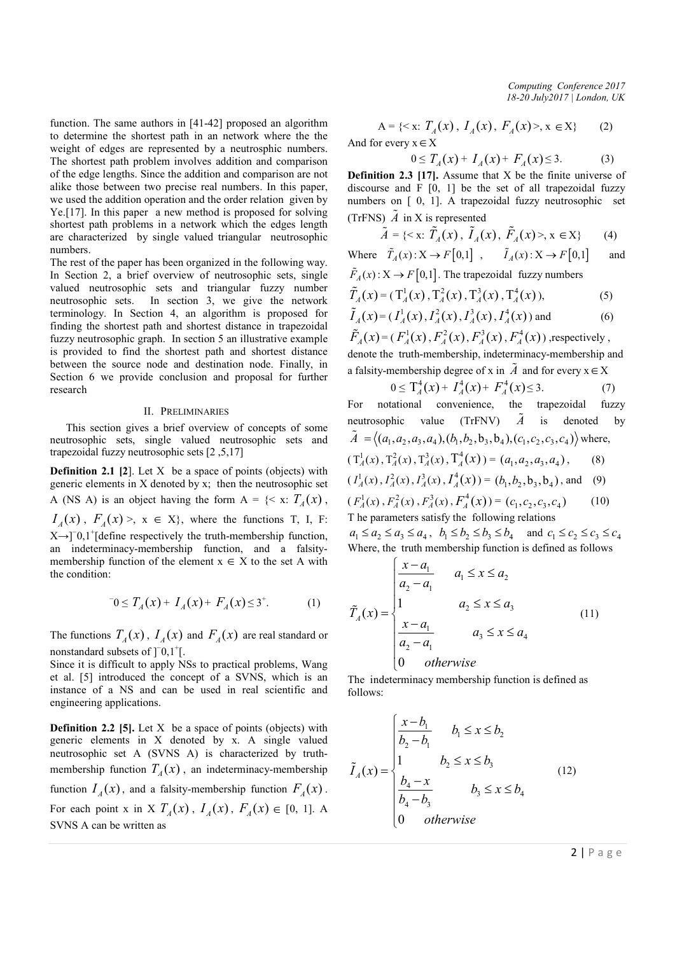function. The same authors in [41-42] proposed an algorithm to determine the shortest path in an network where the the weight of edges are represented by a neutrosphic numbers. The shortest path problem involves addition and comparison of the edge lengths. Since the addition and comparison are not alike those between two precise real numbers. In this paper, we used the addition operation and the order relation given by Ye.[17]. In this paper a new method is proposed for solving shortest path problems in a network which the edges length are characterized by single valued triangular neutrosophic numbers.

The rest of the paper has been organized in the following way. In Section 2, a brief overview of neutrosophic sets, single valued neutrosophic sets and triangular fuzzy number neutrosophic sets. In section 3, we give the network terminology. In Section 4, an algorithm is proposed for finding the shortest path and shortest distance in trapezoidal fuzzy neutrosophic graph. In section 5 an illustrative example is provided to find the shortest path and shortest distance between the source node and destination node. Finally, in Section 6 we provide conclusion and proposal for further research

## II. PRELIMINARIES

This section gives a brief overview of concepts of some neutrosophic sets, single valued neutrosophic sets and trapezoidal fuzzy neutrosophic sets [2 ,5,17]

**Definition 2.1** [2]. Let  $X$  be a space of points (objects) with generic elements in X denoted by x; then the neutrosophic set A (NS A) is an object having the form  $A = \{ \langle x, T_A(x) \rangle, \}$  $I_A(x)$ ,  $F_A(x)$ ,  $x \in X$ , where the functions T, I, F: X→]<sup>-</sup>0,1<sup>+</sup>[define respectively the truth-membership function, an indeterminacy-membership function, and a falsitymembership function of the element  $x \in X$  to the set A with the condition:

$$
0 \le T_A(x) + I_A(x) + F_A(x) \le 3^+.
$$
 (1)

The functions  $T_A(x)$ ,  $I_A(x)$  and  $F_A(x)$  are real standard or nonstandard subsets of  $]$ <sup>-</sup>0,1<sup>+</sup>[.

Since it is difficult to apply NSs to practical problems, Wang et al. [5] introduced the concept of a SVNS, which is an instance of a NS and can be used in real scientific and engineering applications.

**Definition 2.2 [5].** Let  $X$  be a space of points (objects) with generic elements in X denoted by x. A single valued neutrosophic set A (SVNS A) is characterized by truthmembership function  $T_A(x)$ , an indeterminacy-membership function  $I_4(x)$ , and a falsity-membership function  $F_4(x)$ . For each point x in X  $T_A(x)$ ,  $I_A(x)$ ,  $F_A(x) \in [0, 1]$ . A SVNS A can be written as

*Computing Conference 2017 18-20 July2017 | London, UK*

A =  $\{ \langle x, T_A(x), I_A(x), F_A(x) \rangle, x \in X \}$  (2) And for every  $x \in X$ 

$$
0 \le T_A(x) + I_A(x) + F_A(x) \le 3. \tag{3}
$$

Definition 2.3 [17]. Assume that X be the finite universe of discourse and  $F [0, 1]$  be the set of all trapezoidal fuzzy numbers on [ 0, 1]. A trapezoidal fuzzy neutrosophic set (TrFNS)  $\tilde{A}$  in X is represented

$$
\tilde{A} = \{ \langle x, \tilde{T}_A(x), \tilde{I}_A(x), \tilde{F}_A(x) \rangle, x \in X \} \tag{4}
$$

Where  $\tilde{T}_A(x): X \to F[0,1]$ ,  $\tilde{I}_A(x): X \to F[0,1]$  and  $\tilde{F}_A(x)$ :  $X \to F[0,1]$ . The trapezoidal fuzzy numbers

$$
\tilde{T}_A(x) = (\mathbf{T}_A^1(x), \mathbf{T}_A^2(x), \mathbf{T}_A^3(x), \mathbf{T}_A^4(x)),
$$
\n(5)

$$
\tilde{I}_A(x) = (I_A^1(x), I_A^2(x), I_A^3(x), I_A^4(x))
$$
 and (6)  
\n
$$
\tilde{F}_A(x) = (F_A^1(x), F_A^2(x), F_A^3(x), F_A^4(x))
$$
, respectively,

denote the truth-membership, indeterminacy-membership and a falsity-membership degree of x in  $\tilde{A}$  and for every  $x \in X$ 

$$
0 \le T_A^4(x) + I_A^4(x) + F_A^4(x) \le 3. \tag{7}
$$

For notational convenience, the trapezoidal fuzzy neutrosophic value (TrFNV)  $\tilde{A}$  is denoted by  $\tilde{A} = \langle (a_1, a_2, a_3, a_4), (b_1, b_2, b_3, b_4), (c_1, c_2, c_3, c_4) \rangle$  where,

$$
(T_A^1(x), T_A^2(x), T_A^3(x), T_A^4(x)) = (a_1, a_2, a_3, a_4),
$$
 (8)

$$
(I_A^1(x), I_A^2(x), I_A^3(x), I_A^4(x)) = (b_1, b_2, b_3, b_4)
$$
, and (9)

$$
(F_A^1(x), F_A^2(x), F_A^3(x), F_A^4(x)) = (c_1, c_2, c_3, c_4)
$$
 (10)  
The parameters satisfy the following relations

 $a_1 \leq a_2 \leq a_3 \leq a_4, \quad b_1 \leq b_2 \leq b_3 \leq b_4 \quad \text{and} \quad c_1 \leq c_2 \leq c_3 \leq c_4$ Where, the truth membership function is defined as follows

$$
\tilde{T}_A(x) = \begin{cases}\n\frac{x - a_1}{a_2 - a_1} & a_1 \le x \le a_2 \\
1 & a_2 \le x \le a_3 \\
\frac{x - a_1}{a_2 - a_1} & a_3 \le x \le a_4 \\
0 & \text{otherwise}\n\end{cases} \tag{11}
$$

The indeterminacy membership function is defined as follows:

$$
\tilde{I}_A(x) = \begin{cases}\n\frac{x - b_1}{b_2 - b_1} & b_1 \le x \le b_2 \\
1 & b_2 \le x \le b_3 \\
\frac{b_4 - x}{b_4 - b_3} & b_3 \le x \le b_4 \\
0 & \text{otherwise}\n\end{cases}
$$
\n(12)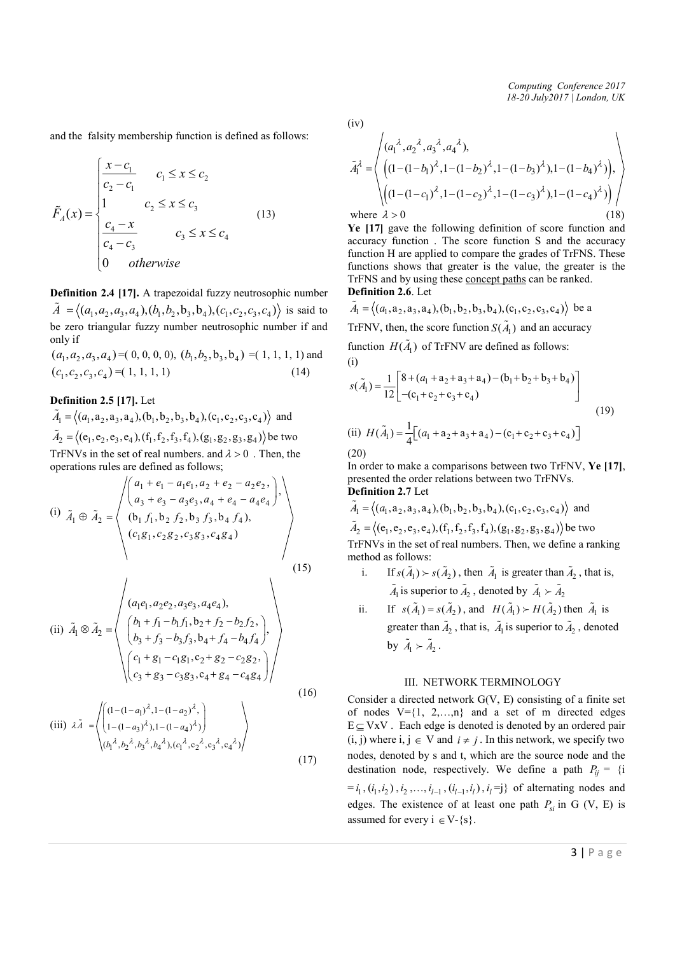*Computing Conference 2017 18-20 July2017 | London, UK*

and the falsity membership function is defined as follows:

$$
\tilde{F}_A(x) = \begin{cases}\n\frac{x - c_1}{c_2 - c_1} & c_1 \le x \le c_2 \\
1 & c_2 \le x \le c_3 \\
\frac{c_4 - x}{c_4 - c_3} & c_3 \le x \le c_4 \\
0 & \text{otherwise}\n\end{cases}
$$
\n(13)

Definition 2.4 [17]. A trapezoidal fuzzy neutrosophic number  $\tilde{A} = \langle (a_1, a_2, a_3, a_4), (b_1, b_2, b_3, b_4), (c_1, c_2, c_3, c_4) \rangle$  is said to be zero triangular fuzzy number neutrosophic number if and only if

 $(a_1, a_1, a_2, a_3, a_4) = (0, 0, 0, 0), (b_1, b_2, b_3, b_4) = (1, 1, 1, 1)$  and  $(c_1, c_2, c_3, c_4) = (1, 1, 1, 1)$  (14)

Definition 2.5 [17]. Let

 $\tilde{A}_1 = \langle (a_1, a_2, a_3, a_4), (b_1, b_2, b_3, b_4), (c_1, c_2, c_3, c_4) \rangle$  and  $\tilde{A}_2 = \langle (e_1, e_2, e_3, e_4), (f_1, f_2, f_3, f_4), (g_1, g_2, g_3, g_4) \rangle$  be two TrFNVs in the set of real numbers, and  $\lambda > 0$ . Then, the operations rules are defined as follows;

(i) 
$$
\tilde{A}_1 \oplus \tilde{A}_2 = \begin{pmatrix} \begin{pmatrix} a_1 + e_1 - a_1 e_1, a_2 + e_2 - a_2 e_2, \\ a_3 + e_3 - a_3 e_3, a_4 + e_4 - a_4 e_4 \end{pmatrix}, \\ (b_1 f_1, b_2 f_2, b_3 f_3, b_4 f_4), \\ (c_1 g_1, c_2 g_2, c_3 g_3, c_4 g_4) \end{pmatrix}, \end{pmatrix}
$$
 (15)

(ii) 
$$
\tilde{A}_1 \otimes \tilde{A}_2 = \begin{pmatrix} (a_1e_1, a_2e_2, a_3e_3, a_4e_4), \\ (b_1 + f_1 - b_1f_1, b_2 + f_2 - b_2f_2, \\ (b_3 + f_3 - b_3f_3, b_4 + f_4 - b_4f_4), \\ (c_1 + g_1 - c_1g_1, c_2 + g_2 - c_2g_2, \\ (c_3 + g_3 - c_3g_3, c_4 + g_4 - c_4g_4) \end{pmatrix}
$$
 (16)

(iii) 
$$
\lambda \tilde{A} = \left\langle \begin{pmatrix} (1 - (1 - a_1)^{\lambda}, 1 - (1 - a_2)^{\lambda}, \\ 1 - (1 - a_3)^{\lambda}), 1 - (1 - a_4)^{\lambda} \end{pmatrix} \right\rangle
$$

$$
\left\langle (b_1^{\lambda}, b_2^{\lambda}, b_3^{\lambda}, b_4^{\lambda}), (c_1^{\lambda}, c_2^{\lambda}, c_3^{\lambda}, c_4^{\lambda}) \right\rangle
$$
(17)

(iv)

$$
\tilde{A}_{1}^{\lambda} = \left\langle \begin{pmatrix} (a_{1}^{\lambda}, a_{2}^{\lambda}, a_{3}^{\lambda}, a_{4}^{\lambda}), & & \\ \left( (1 - (1 - b_{1})^{\lambda}, 1 - (1 - b_{2})^{\lambda}, 1 - (1 - b_{3})^{\lambda}), 1 - (1 - b_{4})^{\lambda} \right), & \\ \left( (1 - (1 - c_{1})^{\lambda}, 1 - (1 - c_{2})^{\lambda}, 1 - (1 - c_{3})^{\lambda}), 1 - (1 - c_{4})^{\lambda} \right) \end{pmatrix} \right\rangle
$$
\nwhere  $\lambda > 0$ 

\n(18)

Ye [17] gave the following definition of score function and accuracy function . The score function S and the accuracy function H are applied to compare the grades of TrFNS. These functions shows that greater is the value, the greater is the TrFNS and by using these concept paths can be ranked. Definition 2.6. Let

$$
\tilde{A}_1 = \langle (a_1, a_2, a_3, a_4), (b_1, b_2, b_3, b_4), (c_1, c_2, c_3, c_4) \rangle
$$
 be a  
\nTrFNV, then, the score function  $S(\tilde{A}_1)$  and an accuracy function  $H(\tilde{A}_1)$  of TFFNV are defined as follows:  
\n(i)

$$
s(\tilde{A}_1) = \frac{1}{12} \begin{bmatrix} 8 + (a_1 + a_2 + a_3 + a_4) - (b_1 + b_2 + b_3 + b_4) \\ -(c_1 + c_2 + c_3 + c_4) \end{bmatrix}
$$
  
(ii) 
$$
H(\tilde{A}_1) = \frac{1}{4} \Big[ (a_1 + a_2 + a_3 + a_4) - (c_1 + c_2 + c_3 + c_4) \Big]
$$
 (19)

$$
(20)
$$

In order to make a comparisons between two TrFNV, Ye [17], presented the order relations between two TrFNVs. Definition 2.7 Let

$$
\tilde{A}_1 = \langle (a_1, a_2, a_3, a_4), (b_1, b_2, b_3, b_4), (c_1, c_2, c_3, c_4) \rangle
$$
 and

 $\tilde{A}_2 = \langle (e_1, e_2, e_3, e_4), (f_1, f_2, f_3, f_4), (g_1, g_2, g_3, g_4) \rangle$  be two TrFNVs in the set of real numbers. Then, we define a ranking method as follows:

i. If 
$$
s(\tilde{A}_1) > s(\tilde{A}_2)
$$
, then  $\tilde{A}_1$  is greater than  $\tilde{A}_2$ , that is,  
\n $\tilde{A}_1$  is superior to  $\tilde{A}_2$ , denoted by  $\tilde{A}_1 > \tilde{A}_2$ 

ii. If  $s(\tilde{A}_1) = s(\tilde{A}_2)$ , and  $H(\tilde{A}_1) > H(\tilde{A}_2)$  then  $\tilde{A}_1$  is greater than  $\tilde{A}_2$ , that is,  $\tilde{A}_1$  is superior to  $\tilde{A}_2$ , denoted by  $\tilde{A}_1 \succ \tilde{A}_2$ .

# III. NETWORK TERMINOLOGY

Consider a directed network G(V, E) consisting of a finite set of nodes  $V = \{1, 2,...,n\}$  and a set of m directed edges  $E \subseteq VxV$ . Each edge is denoted is denoted by an ordered pair (i, j) where i,  $j \in V$  and  $i \neq j$ . In this network, we specify two nodes, denoted by s and t, which are the source node and the destination node, respectively. We define a path  $P_{ij} = \{i\}$  $=i_1$ ,  $(i_1, i_2)$ ,  $i_2$ , ...,  $i_{l-1}$ ,  $(i_{l-1}, i_l)$ ,  $i_l = j$ } of alternating nodes and edges. The existence of at least one path  $P_{si}$  in G (V, E) is assumed for every  $i \in V$ -{s}.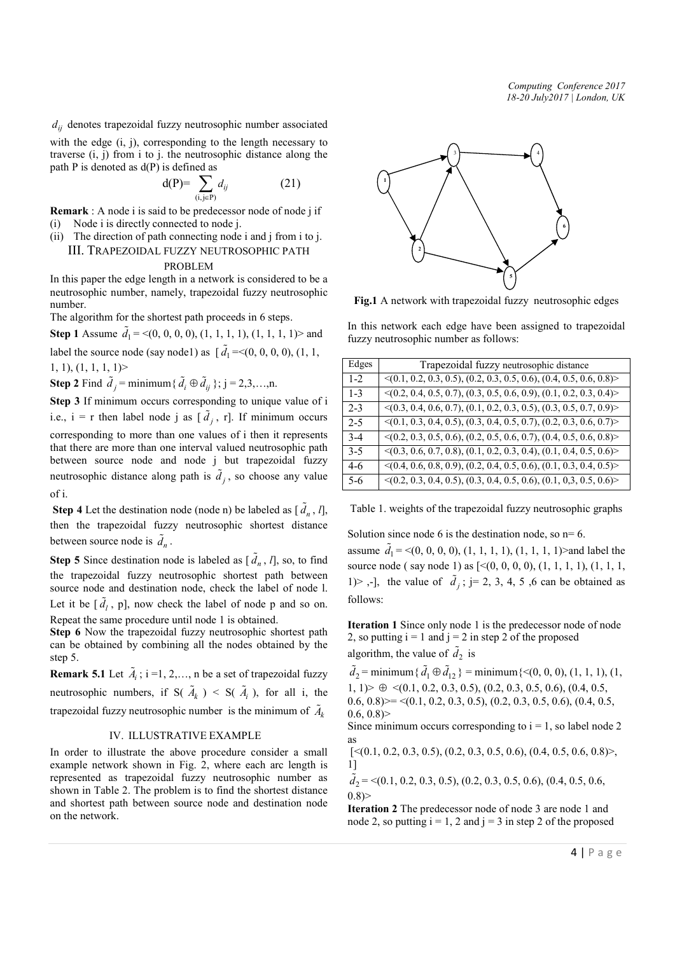*Computing Conference 2017 18-20 July2017 | London, UK*

 $d_{ij}$  denotes trapezoidal fuzzy neutrosophic number associated

with the edge (i, j), corresponding to the length necessary to traverse (i, j) from i to j. the neutrosophic distance along the path  $P$  is denoted as  $d(P)$  is defined as

$$
d(P) = \sum_{(i,j \in P)} d_{ij} \tag{21}
$$

Remark : A node i is said to be predecessor node of node j if

- (i) Node i is directly connected to node j.
- (ii) The direction of path connecting node i and j from i to j. III. TRAPEZOIDAL FUZZY NEUTROSOPHIC PATH

# PROBLEM

In this paper the edge length in a network is considered to be a neutrosophic number, namely, trapezoidal fuzzy neutrosophic number.

The algorithm for the shortest path proceeds in 6 steps.

**Step 1** Assume  $\tilde{d}_1 = \langle (0, 0, 0, 0), (1, 1, 1, 1), (1, 1, 1, 1) \rangle$  and label the source node (say node1) as  $[\tilde{d}_1 = < (0, 0, 0, 0), (1, 1, 1)]$  $1, 1, 1, 1, 1, 1$ 

**Step 2** Find  $\tilde{d}_j$  = minimum {  $\tilde{d}_i \oplus \tilde{d}_{ij}$  }; j = 2,3,...,n.

Step 3 If minimum occurs corresponding to unique value of i i.e.,  $i = r$  then label node j as  $[\tilde{d}_j, r]$ . If minimum occurs corresponding to more than one values of i then it represents that there are more than one interval valued neutrosophic path between source node and node j but trapezoidal fuzzy neutrosophic distance along path is  $\tilde{d}_j$ , so choose any value of i.

**Step 4** Let the destination node (node n) be labeled as  $[\tilde{d}_n, l]$ , then the trapezoidal fuzzy neutrosophic shortest distance between source node is  $\tilde{d}_n$ .

**Step 5** Since destination node is labeled as  $[\tilde{d}_n, l]$ , so, to find the trapezoidal fuzzy neutrosophic shortest path between source node and destination node, check the label of node l. Let it be  $[\tilde{d}_l, p]$ , now check the label of node p and so on. Repeat the same procedure until node 1 is obtained.

Step 6 Now the trapezoidal fuzzy neutrosophic shortest path can be obtained by combining all the nodes obtained by the step 5.

**Remark 5.1** Let  $\tilde{A}_i$ ; i =1, 2, ..., n be a set of trapezoidal fuzzy neutrosophic numbers, if  $S(\tilde{A}_k) < S(\tilde{A}_i)$ , for all i, the trapezoidal fuzzy neutrosophic number is the minimum of  $\tilde{A}_k$ 

## IV. ILLUSTRATIVE EXAMPLE

In order to illustrate the above procedure consider a small example network shown in Fig. 2, where each arc length is represented as trapezoidal fuzzy neutrosophic number as shown in Table 2. The problem is to find the shortest distance and shortest path between source node and destination node on the network.



Fig.1 A network with trapezoidal fuzzy neutrosophic edges

In this network each edge have been assigned to trapezoidal fuzzy neutrosophic number as follows:

| Edges   | Trapezoidal fuzzy neutrosophic distance                                            |  |
|---------|------------------------------------------------------------------------------------|--|
| $1 - 2$ | $\langle (0.1, 0.2, 0.3, 0.5), (0.2, 0.3, 0.5, 0.6), (0.4, 0.5, 0.6, 0.8) \rangle$ |  |
| $1 - 3$ | $\langle (0.2, 0.4, 0.5, 0.7), (0.3, 0.5, 0.6, 0.9), (0.1, 0.2, 0.3, 0.4) \rangle$ |  |
| $2 - 3$ | $\langle (0.3, 0.4, 0.6, 0.7), (0.1, 0.2, 0.3, 0.5), (0.3, 0.5, 0.7, 0.9) \rangle$ |  |
| $2 - 5$ | $\langle (0.1, 0.3, 0.4, 0.5), (0.3, 0.4, 0.5, 0.7), (0.2, 0.3, 0.6, 0.7) \rangle$ |  |
| $3-4$   | $\langle (0.2, 0.3, 0.5, 0.6), (0.2, 0.5, 0.6, 0.7), (0.4, 0.5, 0.6, 0.8) \rangle$ |  |
| $3-5$   | $\langle (0.3, 0.6, 0.7, 0.8), (0.1, 0.2, 0.3, 0.4), (0.1, 0.4, 0.5, 0.6) \rangle$ |  |
| $4-6$   | $\langle (0.4, 0.6, 0.8, 0.9), (0.2, 0.4, 0.5, 0.6), (0.1, 0.3, 0.4, 0.5) \rangle$ |  |
| $5-6$   | $\langle (0.2, 0.3, 0.4, 0.5), (0.3, 0.4, 0.5, 0.6), (0.1, 0.3, 0.5, 0.6) \rangle$ |  |

Table 1. weights of the trapezoidal fuzzy neutrosophic graphs

Solution since node 6 is the destination node, so  $n=6$ . assume  $\tilde{d}_1$  = <(0, 0, 0, 0), (1, 1, 1, 1), (1, 1, 1, 1)>and label the source node (say node 1) as  $[<(0, 0, 0, 0), (1, 1, 1, 1), (1, 1, 1, 1)]$ 1) > ,-], the value of  $\tilde{d}_j$ ; j= 2, 3, 4, 5, 6 can be obtained as follows:

Iteration 1 Since only node 1 is the predecessor node of node 2, so putting  $i = 1$  and  $j = 2$  in step 2 of the proposed algorithm, the value of  $\tilde{d}_2$  is

 $\tilde{d}_2$  = minimum {  $\tilde{d}_1 \oplus \tilde{d}_{12}$  } = minimum { < (0, 0, 0), (1, 1, 1), (1,  $1, 1$   $\geq \oplus \langle (0.1, 0.2, 0.3, 0.5), (0.2, 0.3, 0.5, 0.6), (0.4, 0.5,$  $(0.6, 0.8)$  > = <(0.1, 0.2, 0.3, 0.5), (0.2, 0.3, 0.5, 0.6), (0.4, 0.5,  $0.6, 0.8$ 

Since minimum occurs corresponding to  $i = 1$ , so label node 2 as

 $[\leq (0.1, 0.2, 0.3, 0.5), (0.2, 0.3, 0.5, 0.6), (0.4, 0.5, 0.6, 0.8)\geq,$ 1]

 $\tilde{d}_2$  = <(0.1, 0.2, 0.3, 0.5), (0.2, 0.3, 0.5, 0.6), (0.4, 0.5, 0.6,  $0.8$ 

Iteration 2 The predecessor node of node 3 are node 1 and node 2, so putting  $i = 1, 2$  and  $j = 3$  in step 2 of the proposed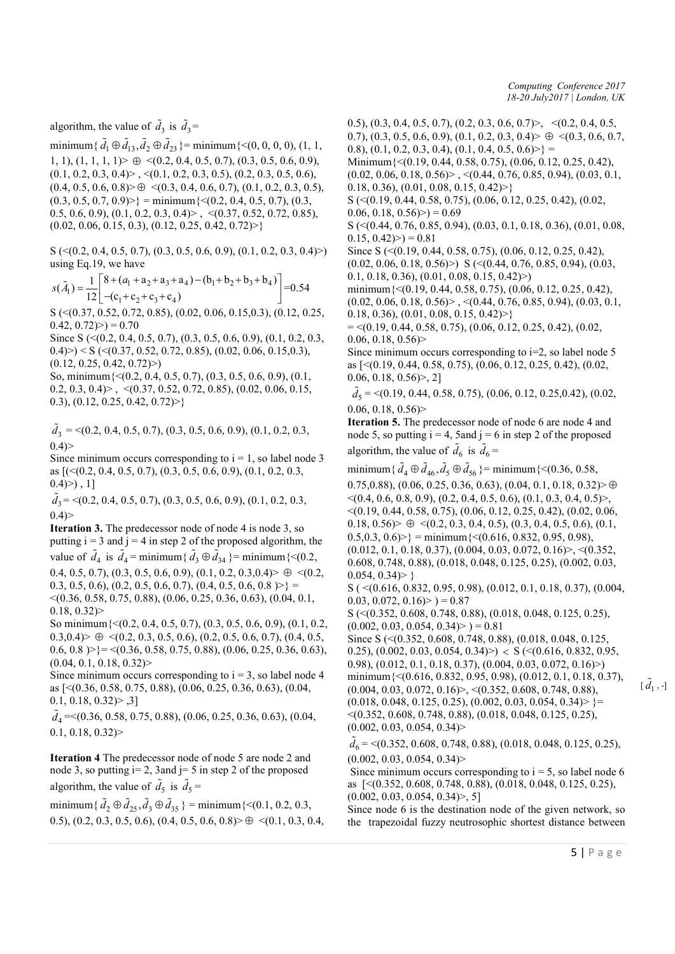*Computing Conference 2017 18-20 July2017 | London, UK*

algorithm, the value of  $\tilde{d}_3$  is  $\tilde{d}_3$ =

minimum { $\tilde{d}_1 \oplus \tilde{d}_{13}, \tilde{d}_2 \oplus \tilde{d}_{23}$ } = minimum {<(0, 0, 0, 0), (1, 1, 1, 1),  $(1, 1, 1, 1)$   $\oplus$   $\leq$   $(0.2, 0.4, 0.5, 0.7), (0.3, 0.5, 0.6, 0.9),$  $(0.1, 0.2, 0.3, 0.4)$  >  $\leq$   $(0.1, 0.2, 0.3, 0.5)$ ,  $(0.2, 0.3, 0.5, 0.6)$ ,  $(0.4, 0.5, 0.6, 0.8)$   $\geq \oplus \leq (0.3, 0.4, 0.6, 0.7), (0.1, 0.2, 0.3, 0.5),$  $(0.3, 0.5, 0.7, 0.9)$  = minimum  $\{(0.2, 0.4, 0.5, 0.7), (0.3, 0.7)\}$ 0.5, 0.6, 0.9), (0.1, 0.2, 0.3, 0.4) > ,  $\langle$ (0.37, 0.52, 0.72, 0.85),  $(0.02, 0.06, 0.15, 0.3), (0.12, 0.25, 0.42, 0.72)$ 

 $S \left( \leq (0.2, 0.4, 0.5, 0.7), (0.3, 0.5, 0.6, 0.9), (0.1, 0.2, 0.3, 0.4) \right)$ using Eq.19, we have

$$
s(\tilde{A}_1) = \frac{1}{12} \begin{bmatrix} 8 + (a_1 + a_2 + a_3 + a_4) - (b_1 + b_2 + b_3 + b_4) \\ -(c_1 + c_2 + c_3 + c_4) \end{bmatrix} = 0.54
$$

S (<(0.37, 0.52, 0.72, 0.85), (0.02, 0.06, 0.15,0.3), (0.12, 0.25,  $(0.42, 0.72) > 0.70$ 

Since S (<(0.2, 0.4, 0.5, 0.7), (0.3, 0.5, 0.6, 0.9), (0.1, 0.2, 0.3,  $(0.4)$  >  $\leq$   $\leq$   $( $(0.37, 0.52, 0.72, 0.85)$ ,  $(0.02, 0.06, 0.15, 0.3)$ ,$  $(0.12, 0.25, 0.42, 0.72)$ 

So, minimum{<(0.2, 0.4, 0.5, 0.7), (0.3, 0.5, 0.6, 0.9), (0.1, 0.2, 0.3, 0.4)> , <(0.37, 0.52, 0.72, 0.85), (0.02, 0.06, 0.15, 0.3),  $(0.12, 0.25, 0.42, 0.72)$ 

 $\tilde{d}_3$  = <(0.2, 0.4, 0.5, 0.7), (0.3, 0.5, 0.6, 0.9), (0.1, 0.2, 0.3,  $0.4$ 

Since minimum occurs corresponding to  $i = 1$ , so label node 3 as [(<(0.2, 0.4, 0.5, 0.7), (0.3, 0.5, 0.6, 0.9), (0.1, 0.2, 0.3,  $(0.4)$ ), 1]

 $\tilde{d}_3$  = <(0.2, 0.4, 0.5, 0.7), (0.3, 0.5, 0.6, 0.9), (0.1, 0.2, 0.3,  $0.4$ )

Iteration 3. The predecessor node of node 4 is node 3, so putting  $i = 3$  and  $j = 4$  in step 2 of the proposed algorithm, the value of  $\tilde{d}_4$  is  $\tilde{d}_4$  = minimum{ $\tilde{d}_3 \oplus \tilde{d}_{34}$ } = minimum{<(0.2, 0.4, 0.5, 0.7), (0.3, 0.5, 0.6, 0.9), (0.1, 0.2, 0.3, 0.4)  $\geq \leq 0.2$ , 0.3, 0.5, 0.6), (0.2, 0.5, 0.6, 0.7), (0.4, 0.5, 0.6, 0.8  $\geq$  } = <(0.36, 0.58, 0.75, 0.88), (0.06, 0.25, 0.36, 0.63), (0.04, 0.1, 0.18, 0.32)>

So minimum{<(0.2, 0.4, 0.5, 0.7), (0.3, 0.5, 0.6, 0.9), (0.1, 0.2,  $0.3,0.4$   $\geq \oplus \langle (0.2, 0.3, 0.5, 0.6), (0.2, 0.5, 0.6, 0.7), (0.4, 0.5,$  $(0.6, 0.8)$  >} = <(0.36, 0.58, 0.75, 0.88), (0.06, 0.25, 0.36, 0.63),  $(0.04, 0.1, 0.18, 0.32)$ 

Since minimum occurs corresponding to  $i = 3$ , so label node 4 as [<(0.36, 0.58, 0.75, 0.88), (0.06, 0.25, 0.36, 0.63), (0.04,  $0.1, 0.18, 0.32$   $> 0.31$ 

 $\tilde{d}_4$  = < (0.36, 0.58, 0.75, 0.88), (0.06, 0.25, 0.36, 0.63), (0.04,  $0.1, 0.18, 0.32$ 

Iteration 4 The predecessor node of node 5 are node 2 and node 3, so putting  $i=2$ , 3 and  $j=5$  in step 2 of the proposed algorithm, the value of  $\tilde{d}_5$  is  $\tilde{d}_5$  =

minimum { $\tilde{d}_2 \oplus \tilde{d}_{25}, \tilde{d}_3 \oplus \tilde{d}_{35}$ } = minimum {<(0.1, 0.2, 0.3, 0.5), (0.2, 0.3, 0.5, 0.6), (0.4, 0.5, 0.6, 0.8)  $\geq \oplus \langle 0.1, 0.3, 0.4,$  0.5), (0.3, 0.4, 0.5, 0.7), (0.2, 0.3, 0.6, 0.7)  $>$ ,  $\leq (0.2, 0.4, 0.5,$ 0.7), (0.3, 0.5, 0.6, 0.9), (0.1, 0.2, 0.3, 0.4)  $\geq \oplus \langle 0.3, 0.6, 0.7,$ 0.8), (0.1, 0.2, 0.3, 0.4), (0.1, 0.4, 0.5, 0.6)  $\geq$  = Minimum{<(0.19, 0.44, 0.58, 0.75), (0.06, 0.12, 0.25, 0.42),  $(0.02, 0.06, 0.18, 0.56)$   $\geq$   $\leq$   $(0.44, 0.76, 0.85, 0.94)$ ,  $(0.03, 0.1, 0.76, 0.85)$ 0.18, 0.36),  $(0.01, 0.08, 0.15, 0.42)$ S (<(0.19, 0.44, 0.58, 0.75), (0.06, 0.12, 0.25, 0.42), (0.02,  $(0.06, 0.18, 0.56) > 0.69$ S (<(0.44, 0.76, 0.85, 0.94), (0.03, 0.1, 0.18, 0.36), (0.01, 0.08,  $0.15, 0.42$  $>$  $) = 0.81$ Since S (<(0.19, 0.44, 0.58, 0.75), (0.06, 0.12, 0.25, 0.42),  $(0.02, 0.06, 0.18, 0.56)$  S ( $\leq$  (0.44, 0.76, 0.85, 0.94), (0.03, 0.1, 0.18, 0.36),  $(0.01, 0.08, 0.15, 0.42)$ minimum{<(0.19, 0.44, 0.58, 0.75), (0.06, 0.12, 0.25, 0.42),  $(0.02, 0.06, 0.18, 0.56)$  >  $\leq$   $(0.44, 0.76, 0.85, 0.94)$ ,  $(0.03, 0.1, 0.05)$ 0.18, 0.36),  $(0.01, 0.08, 0.15, 0.42)$  $=$  <(0.19, 0.44, 0.58, 0.75), (0.06, 0.12, 0.25, 0.42), (0.02,  $0.06, 0.18, 0.56$ Since minimum occurs corresponding to  $i=2$ , so label node 5 as [<(0.19, 0.44, 0.58, 0.75), (0.06, 0.12, 0.25, 0.42), (0.02,  $0.06, 0.18, 0.56$  $>$ , 2]  $\tilde{d}_5$  = <(0.19, 0.44, 0.58, 0.75), (0.06, 0.12, 0.25, 0.42), (0.02,  $0.06, 0.18, 0.56$ Iteration 5. The predecessor node of node 6 are node 4 and node 5, so putting  $i = 4$ , 5 and  $j = 6$  in step 2 of the proposed algorithm, the value of  $\tilde{d}_6$  is  $\tilde{d}_6$  = minimum { $\tilde{d}_4 \oplus \tilde{d}_{46}, \tilde{d}_5 \oplus \tilde{d}_{56}$ } = minimum {<(0.36, 0.58, 0.75,0.88),  $(0.06, 0.25, 0.36, 0.63)$ ,  $(0.04, 0.1, 0.18, 0.32)$   $\oplus$  $\langle (0.4, 0.6, 0.8, 0.9), (0.2, 0.4, 0.5, 0.6), (0.1, 0.3, 0.4, 0.5) \rangle$  $\leq$ (0.19, 0.44, 0.58, 0.75), (0.06, 0.12, 0.25, 0.42), (0.02, 0.06,  $0.18, 0.56$   $\geq \oplus \leq (0.2, 0.3, 0.4, 0.5), (0.3, 0.4, 0.5, 0.6), (0.1,$  $0.5,0.3, 0.6$   $\geq$  = minimum {< $(0.616, 0.832, 0.95, 0.98)$ ,  $(0.012, 0.1, 0.18, 0.37), (0.004, 0.03, 0.072, 0.16)$ ,  $\leq (0.352, 0.072, 0.16)$ 0.608, 0.748, 0.88), (0.018, 0.048, 0.125, 0.25), (0.002, 0.03,  $0.054, 0.34$  > } S ( <(0.616, 0.832, 0.95, 0.98), (0.012, 0.1, 0.18, 0.37), (0.004,  $0.03, 0.072, 0.16$   $>$   $) = 0.87$ S (<(0.352, 0.608, 0.748, 0.88), (0.018, 0.048, 0.125, 0.25),  $(0.002, 0.03, 0.054, 0.34) > 0.81$ Since S (<(0.352, 0.608, 0.748, 0.88), (0.018, 0.048, 0.125, 0.25), (0.002, 0.03, 0.054, 0.34) >  $\langle S \rangle \langle (0.616, 0.832, 0.95, 0.95, 0.95, 0.95, 0.95, 0.95, 0.95, 0.95, 0.95, 0.95, 0.95, 0.95, 0.95, 0.95, 0.95, 0.95, 0.95, 0.95, 0.95, 0.95, 0.95, 0.95, 0.95, 0.95, 0.95, 0.95, 0.95,$ 0.98), (0.012, 0.1, 0.18, 0.37), (0.004, 0.03, 0.072, 0.16)>) minimum $\{<(0.616, 0.832, 0.95, 0.98), (0.012, 0.1, 0.18, 0.37),\}$  $(0.004, 0.03, 0.072, 0.16)$  >,  $\leq$  (0.352, 0.608, 0.748, 0.88),  $(0.018, 0.048, 0.125, 0.25), (0.002, 0.03, 0.054, 0.34)$  =  $\leq$ (0.352, 0.608, 0.748, 0.88), (0.018, 0.048, 0.125, 0.25),  $(0.002, 0.03, 0.054, 0.34)$  $\tilde{d}_6$  = <(0.352, 0.608, 0.748, 0.88), (0.018, 0.048, 0.125, 0.25),  $(0.002, 0.03, 0.054, 0.34)$ Since minimum occurs corresponding to  $i = 5$ , so label node 6 as [<(0.352, 0.608, 0.748, 0.88), (0.018, 0.048, 0.125, 0.25),  $(0.002, 0.03, 0.054, 0.34)$ Since node 6 is the destination node of the given network, so the trapezoidal fuzzy neutrosophic shortest distance between

 $[\tilde{d}_1, \cdot]$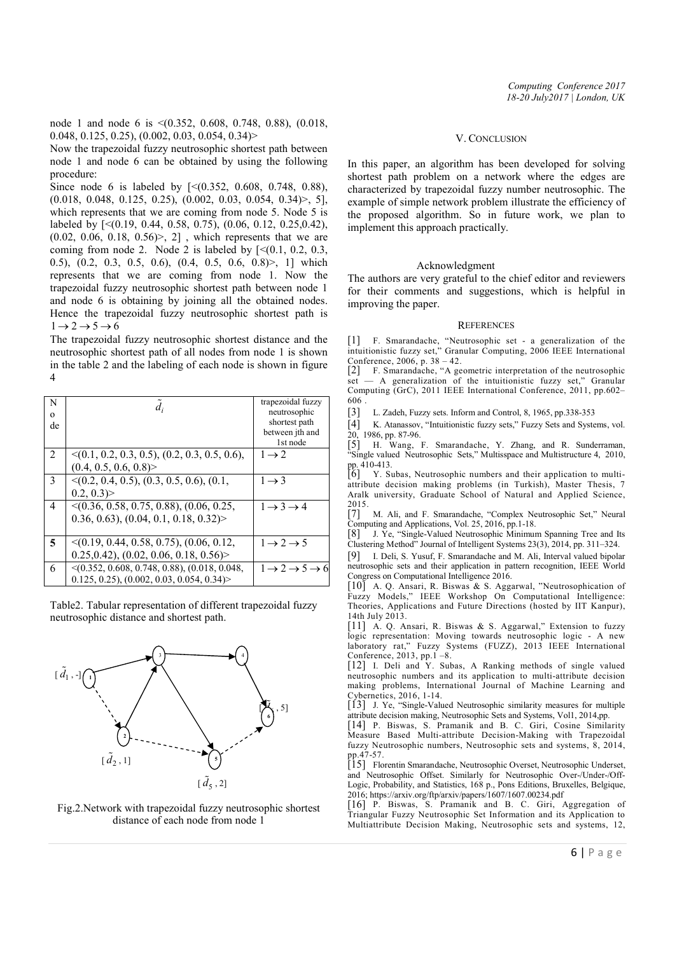Now the trapezoidal fuzzy neutrosophic shortest path between node 1 and node 6 can be obtained by using the following procedure:

Since node 6 is labeled by [<(0.352, 0.608, 0.748, 0.88),  $(0.018, 0.048, 0.125, 0.25), (0.002, 0.03, 0.054, 0.34)$ , 5], which represents that we are coming from node 5. Node 5 is labeled by [<(0.19, 0.44, 0.58, 0.75), (0.06, 0.12, 0.25,0.42),  $(0.02, 0.06, 0.18, 0.56)$ , 2], which represents that we are coming from node 2. Node 2 is labeled by  $\lceil \leq (0.1, 0.2, 0.3, \ldots) \rceil$ 0.5), (0.2, 0.3, 0.5, 0.6), (0.4, 0.5, 0.6, 0.8)>, 1] which represents that we are coming from node 1. Now the trapezoidal fuzzy neutrosophic shortest path between node 1 and node 6 is obtaining by joining all the obtained nodes. Hence the trapezoidal fuzzy neutrosophic shortest path is  $1 \rightarrow 2 \rightarrow 5 \rightarrow 6$ 

The trapezoidal fuzzy neutrosophic shortest distance and the neutrosophic shortest path of all nodes from node 1 is shown in the table 2 and the labeling of each node is shown in figure 4

| N<br>$\Omega$<br>de | $\overline{d}_i$                                   | trapezoidal fuzzy<br>neutrosophic<br>shortest path<br>between jth and<br>1st node |
|---------------------|----------------------------------------------------|-----------------------------------------------------------------------------------|
| 2                   | $\leq$ (0.1, 0.2, 0.3, 0.5), (0.2, 0.3, 0.5, 0.6), | $1 \rightarrow 2$                                                                 |
|                     | (0.4, 0.5, 0.6, 0.8)                               |                                                                                   |
| 3                   | $\leq$ (0.2, 0.4, 0.5), (0.3, 0.5, 0.6), (0.1,     | $1 \rightarrow 3$                                                                 |
|                     | $0.2, 0.3$ )                                       |                                                                                   |
| 4                   | $\leq$ (0.36, 0.58, 0.75, 0.88), (0.06, 0.25,      | $1 \rightarrow 3 \rightarrow 4$                                                   |
|                     | (0.36, 0.63), (0.04, 0.1, 0.18, 0.32)              |                                                                                   |
|                     |                                                    |                                                                                   |
| 5                   | $\leq$ (0.19, 0.44, 0.58, 0.75), (0.06, 0.12,      | $1 \rightarrow 2 \rightarrow 5$                                                   |
|                     | $0.25, 0.42$ , $(0.02, 0.06, 0.18, 0.56)$          |                                                                                   |
| 6                   | $\leq$ (0.352, 0.608, 0.748, 0.88), (0.018, 0.048, | $1 \rightarrow 2 \rightarrow 5 \rightarrow 6$                                     |
|                     | $0.125, 0.25, (0.002, 0.03, 0.054, 0.34)$          |                                                                                   |

Table2. Tabular representation of different trapezoidal fuzzy neutrosophic distance and shortest path.



Fig.2.Network with trapezoidal fuzzy neutrosophic shortest distance of each node from node 1

#### V. CONCLUSION

In this paper, an algorithm has been developed for solving shortest path problem on a network where the edges are characterized by trapezoidal fuzzy number neutrosophic. The example of simple network problem illustrate the efficiency of the proposed algorithm. So in future work, we plan to implement this approach practically.

## Acknowledgment

The authors are very grateful to the chief editor and reviewers for their comments and suggestions, which is helpful in improving the paper.

#### **REFERENCES**

[1] F. Smarandache, "Neutrosophic set - a generalization of the intuitionistic fuzzy set," Granular Computing, 2006 IEEE International Conference, 2006, p. 38 – 42.

[2] F. Smarandache, "A geometric interpretation of the neutrosophic - A generalization of the intuitionistic fuzzy set," Granular Computing (GrC), 2011 IEEE International Conference, 2011, pp.602– 606 .

[3] L. Zadeh, Fuzzy sets. Inform and Control, 8, 1965, pp.338-353

[4] K. Atanassov, "Intuitionistic fuzzy sets," Fuzzy Sets and Systems, vol.

20, 1986, pp. 87-96. [5] H. Wang, F. Smarandache, Y. Zhang, and R. Sunderraman, "Single valued Neutrosophic Sets," Multisspace and Multistructure 4, 2010, pp. 410-413.

[6] Y. Subas, Neutrosophic numbers and their application to multiattribute decision making problems (in Turkish), Master Thesis, 7 Aralk university, Graduate School of Natural and Applied Science, 2015.

[7] M. Ali, and F. Smarandache, "Complex Neutrosophic Set," Neural Computing and Applications, Vol. 25, 2016, pp.1-18.

[8] J. Ye, "Single-Valued Neutrosophic Minimum Spanning Tree and Its Clustering Method" Journal of Intelligent Systems 23(3), 2014, pp. 311–324.

[9] I. Deli, S. Yusuf, F. Smarandache and M. Ali, Interval valued bipolar neutrosophic sets and their application in pattern recognition, IEEE World Congress on Computational Intelligence 2016.

[10] A. Q. Ansari, R. Biswas & S. Aggarwal, "Neutrosophication of Fuzzy Models," IEEE Workshop On Computational Intelligence: Theories, Applications and Future Directions (hosted by IIT Kanpur), 14th July 2013.

[11] A. Q. Ansari, R. Biswas & S. Aggarwal," Extension to fuzzy logic representation: Moving towards neutrosophic logic - A new laboratory rat," Fuzzy Systems (FUZZ), 2013 IEEE International

Conference, 2013, pp.1 –8. [12] I. Deli and Y. Subas, A Ranking methods of single valued neutrosophic numbers and its application to multi-attribute decision making problems, International Journal of Machine Learning and Cybernetics, 2016, 1-14.

[13] J. Ye, "Single-Valued Neutrosophic similarity measures for multiple attribute decision making, Neutrosophic Sets and Systems, Vol1, 2014,pp. [14] P. Biswas, S. Pramanik and B. C. Giri, Cosine Similarity

Measure Based Multi-attribute Decision-Making with Trapezoidal fuzzy Neutrosophic numbers, Neutrosophic sets and systems, 8, 2014, pp.47-57.

[15] Florentin Smarandache, Neutrosophic Overset, Neutrosophic Underset, and Neutrosophic Offset. Similarly for Neutrosophic Over-/Under-/Off-Logic, Probability, and Statistics, 168 p., Pons Editions, Bruxelles, Belgique, 2016; https://arxiv.org/ftp/arxiv/papers/1607/1607.00234.pdf

[16] P. Biswas, S. Pramanik and B. C. Giri, Aggregation of Triangular Fuzzy Neutrosophic Set Information and its Application to Multiattribute Decision Making, Neutrosophic sets and systems, 12,